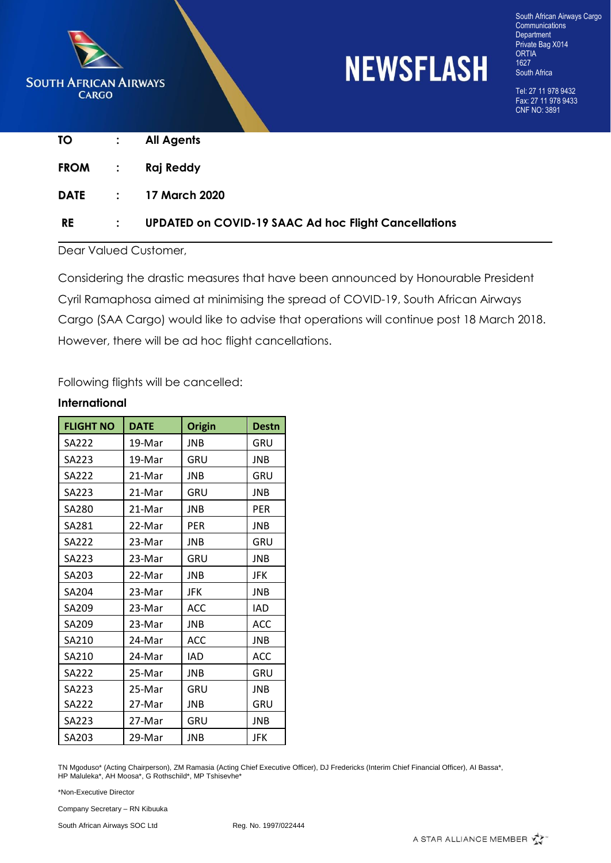

## **NEWSFLASH**

South African Airways Cargo **Communications** Department Private Bag X014 ORTIA 1627 South Africa

Tel: 27 11 978 9432 Fax: 27 11 978 9433 CNF NO: 3891

| TO     | $\mathbb{Z}^{\mathbb{Z}}$ | <b>All Agents</b>                                           |
|--------|---------------------------|-------------------------------------------------------------|
| FROM : |                           | Raj Reddy                                                   |
|        |                           | <b>DATE : 17 March 2020</b>                                 |
| RE     |                           | <b>UPDATED on COVID-19 SAAC Ad hoc Flight Cancellations</b> |

Dear Valued Customer,

Considering the drastic measures that have been announced by Honourable President Cyril Ramaphosa aimed at minimising the spread of COVID-19, South African Airways Cargo (SAA Cargo) would like to advise that operations will continue post 18 March 2018. However, there will be ad hoc flight cancellations.

Following flights will be cancelled:

| <b>FLIGHT NO</b> | <b>DATE</b> | <b>Origin</b> | <b>Destn</b> |
|------------------|-------------|---------------|--------------|
| <b>SA222</b>     | 19-Mar      | <b>JNB</b>    | GRU          |
| SA223            | 19-Mar      | GRU           | <b>JNB</b>   |
| SA222            | 21-Mar      | JNB           | GRU          |
| SA223            | 21-Mar      | GRU           | <b>JNB</b>   |
| SA280            | 21-Mar      | JNB           | <b>PER</b>   |
| SA281            | 22-Mar      | PER           | JNB          |
| <b>SA222</b>     | 23-Mar      | JNB           | GRU          |
| SA223            | 23-Mar      | GRU           | <b>JNB</b>   |
| SA203            | 22-Mar      | <b>JNB</b>    | JFK          |
| SA204            | 23-Mar      | JFK           | <b>JNB</b>   |
| SA209            | 23-Mar      | <b>ACC</b>    | <b>IAD</b>   |
| SA209            | 23-Mar      | <b>JNB</b>    | <b>ACC</b>   |
| SA210            | 24-Mar      | ACC           | <b>JNB</b>   |
| SA210            | 24-Mar      | IAD           | <b>ACC</b>   |
| <b>SA222</b>     | 25-Mar      | <b>JNB</b>    | GRU          |
| SA223            | 25-Mar      | GRU           | <b>JNB</b>   |
| <b>SA222</b>     | 27-Mar      | JNB           | GRU          |
| SA223            | 27-Mar      | GRU           | <b>JNB</b>   |
| SA203            | 29-Mar      | <b>JNB</b>    | JFK          |

## **International**

TN Mgoduso\* (Acting Chairperson), ZM Ramasia (Acting Chief Executive Officer), DJ Fredericks (Interim Chief Financial Officer), AI Bassa\*, HP Maluleka\*, AH Moosa\*, G Rothschild\*, MP Tshisevhe\*

\*Non-Executive Director

Company Secretary – RN Kibuuka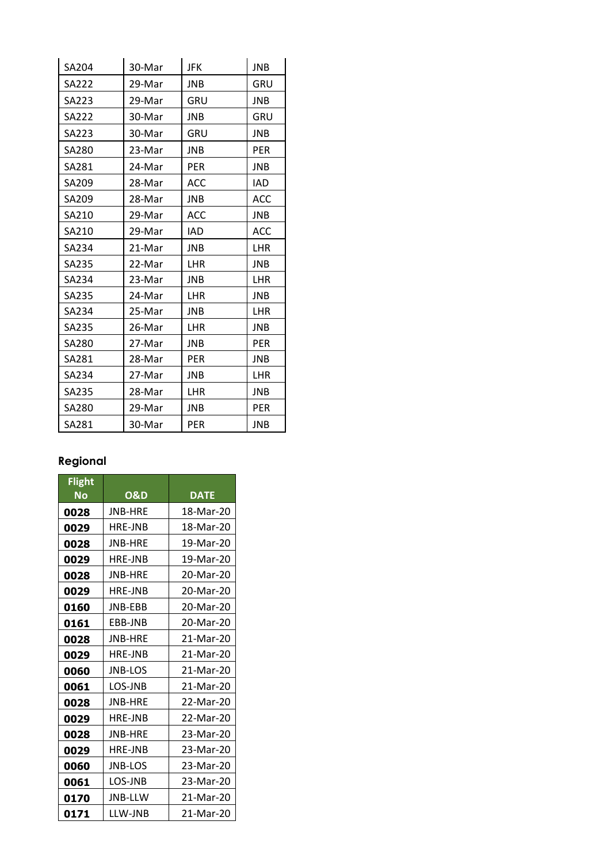| SA204        | 30-Mar | JFK        | <b>JNB</b> |
|--------------|--------|------------|------------|
| SA222        | 29-Mar | <b>JNB</b> | GRU        |
| SA223        | 29-Mar | GRU        | JNB        |
| <b>SA222</b> | 30-Mar | <b>JNB</b> | GRU        |
| SA223        | 30-Mar | GRU        | JNB        |
| SA280        | 23-Mar | JNB        | <b>PER</b> |
| SA281        | 24-Mar | <b>PER</b> | JNB        |
| SA209        | 28-Mar | ACC        | IAD        |
| SA209        | 28-Mar | <b>JNB</b> | ACC        |
| SA210        | 29-Mar | <b>ACC</b> | JNB        |
| SA210        | 29-Mar | IAD        | <b>ACC</b> |
| SA234        | 21-Mar | <b>JNB</b> | LHR        |
| SA235        | 22-Mar | <b>LHR</b> | JNB        |
| SA234        | 23-Mar | <b>JNB</b> | <b>LHR</b> |
| SA235        | 24-Mar | LHR        | JNB        |
| SA234        | 25-Mar | <b>JNB</b> | <b>LHR</b> |
| SA235        | 26-Mar | LHR        | JNB        |
| SA280        | 27-Mar | JNB        | <b>PER</b> |
| SA281        | 28-Mar | <b>PER</b> | JNB        |
| SA234        | 27-Mar | <b>JNB</b> | <b>LHR</b> |
| SA235        | 28-Mar | LHR        | JNB        |
| SA280        | 29-Mar | <b>JNB</b> | <b>PER</b> |
| SA281        | 30-Mar | PER        | JNB        |

## **Regional**

| <b>Flight</b><br>No | <b>O&amp;D</b> | <b>DATE</b> |
|---------------------|----------------|-------------|
| 0028                | <b>JNB-HRF</b> | 18-Mar-20   |
| 0029                | <b>HRE-JNB</b> | 18-Mar-20   |
| 0028                | JNB-HRE        | 19-Mar-20   |
| 0029                | <b>HRF-JNB</b> | 19-Mar-20   |
| 0028                | <b>JNB-HRF</b> | 20-Mar-20   |
| 0029                | <b>HRE-JNB</b> | 20-Mar-20   |
| 0160                | <b>JNB-FBB</b> | 20-Mar-20   |
| 0161                | EBB-JNB        | 20-Mar-20   |
| 0028                | <b>JNB-HRE</b> | 21-Mar-20   |
| 0029                | <b>HRE-JNB</b> | 21-Mar-20   |
| 0060                | <b>JNB-LOS</b> | 21-Mar-20   |
| 0061                | LOS-JNB        | 21-Mar-20   |
| 0028                | <b>JNB-HRE</b> | 22-Mar-20   |
| 0029                | <b>HRE-JNB</b> | 22-Mar-20   |
| 0028                | <b>JNB-HRF</b> | 23-Mar-20   |
| 0029                | <b>HRE-JNB</b> | 23-Mar-20   |
| 0060                | <b>JNB-LOS</b> | 23-Mar-20   |
| 0061                | LOS-JNB        | 23-Mar-20   |
| 0170                | <b>JNB-LLW</b> | 21-Mar-20   |
| 0171                | LLW-JNB        | 21-Mar-20   |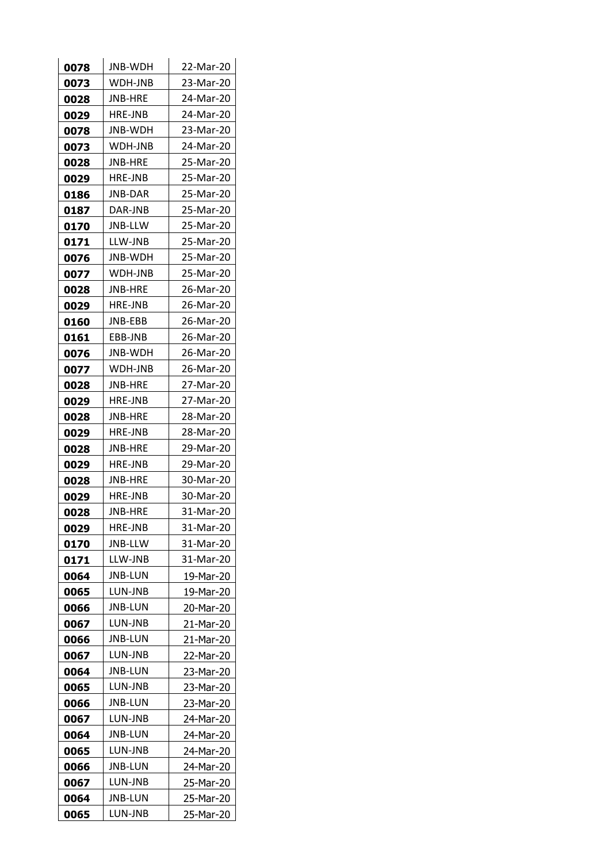| 0078 | JNB-WDH        | 22-Mar-20 |
|------|----------------|-----------|
| 0073 | WDH-JNB        | 23-Mar-20 |
| 0028 | JNB-HRE        | 24-Mar-20 |
| 0029 | HRE-JNB        | 24-Mar-20 |
| 0078 | JNB-WDH        | 23-Mar-20 |
| 0073 | WDH-JNB        | 24-Mar-20 |
| 0028 | JNB-HRE        | 25-Mar-20 |
| 0029 | HRE-JNB        | 25-Mar-20 |
| 0186 | JNB-DAR        | 25-Mar-20 |
| 0187 | DAR-JNB        | 25-Mar-20 |
| 0170 | JNB-LLW        | 25-Mar-20 |
| 0171 | LLW-JNB        | 25-Mar-20 |
| 0076 | JNB-WDH        | 25-Mar-20 |
| 0077 | WDH-JNB        | 25-Mar-20 |
| 0028 | JNB-HRE        | 26-Mar-20 |
| 0029 | <b>HRE-JNB</b> | 26-Mar-20 |
| 0160 | JNB-EBB        | 26-Mar-20 |
| 0161 | EBB-JNB        | 26-Mar-20 |
| 0076 | JNB-WDH        | 26-Mar-20 |
| 0077 | WDH-JNB        | 26-Mar-20 |
| 0028 | JNB-HRE        | 27-Mar-20 |
| 0029 | <b>HRE-JNB</b> | 27-Mar-20 |
| 0028 | JNB-HRE        | 28-Mar-20 |
| 0029 | <b>HRE-JNB</b> | 28-Mar-20 |
| 0028 | JNB-HRE        | 29-Mar-20 |
| 0029 | <b>HRE-JNB</b> | 29-Mar-20 |
| 0028 | JNB-HRE        | 30-Mar-20 |
| 0029 | <b>HRE-JNB</b> | 30-Mar-20 |
| 0028 | JNB-HRE        | 31-Mar-20 |
| 0029 | HRE-JNB        | 31-Mar-20 |
| 0170 | JNB-LLW        | 31-Mar-20 |
| 0171 | LLW-JNB        | 31-Mar-20 |
| 0064 | JNB-LUN        | 19-Mar-20 |
| 0065 | LUN-JNB        | 19-Mar-20 |
| 0066 | JNB-LUN        | 20-Mar-20 |
| 0067 | LUN-JNB        | 21-Mar-20 |
| 0066 | JNB-LUN        | 21-Mar-20 |
| 0067 | LUN-JNB        | 22-Mar-20 |
| 0064 | JNB-LUN        | 23-Mar-20 |
| 0065 | LUN-JNB        | 23-Mar-20 |
| 0066 | JNB-LUN        | 23-Mar-20 |
| 0067 | LUN-JNB        | 24-Mar-20 |
| 0064 | JNB-LUN        | 24-Mar-20 |
| 0065 | LUN-JNB        | 24-Mar-20 |
| 0066 | JNB-LUN        | 24-Mar-20 |
| 0067 | LUN-JNB        | 25-Mar-20 |
| 0064 | JNB-LUN        | 25-Mar-20 |
| 0065 | LUN-JNB        | 25-Mar-20 |